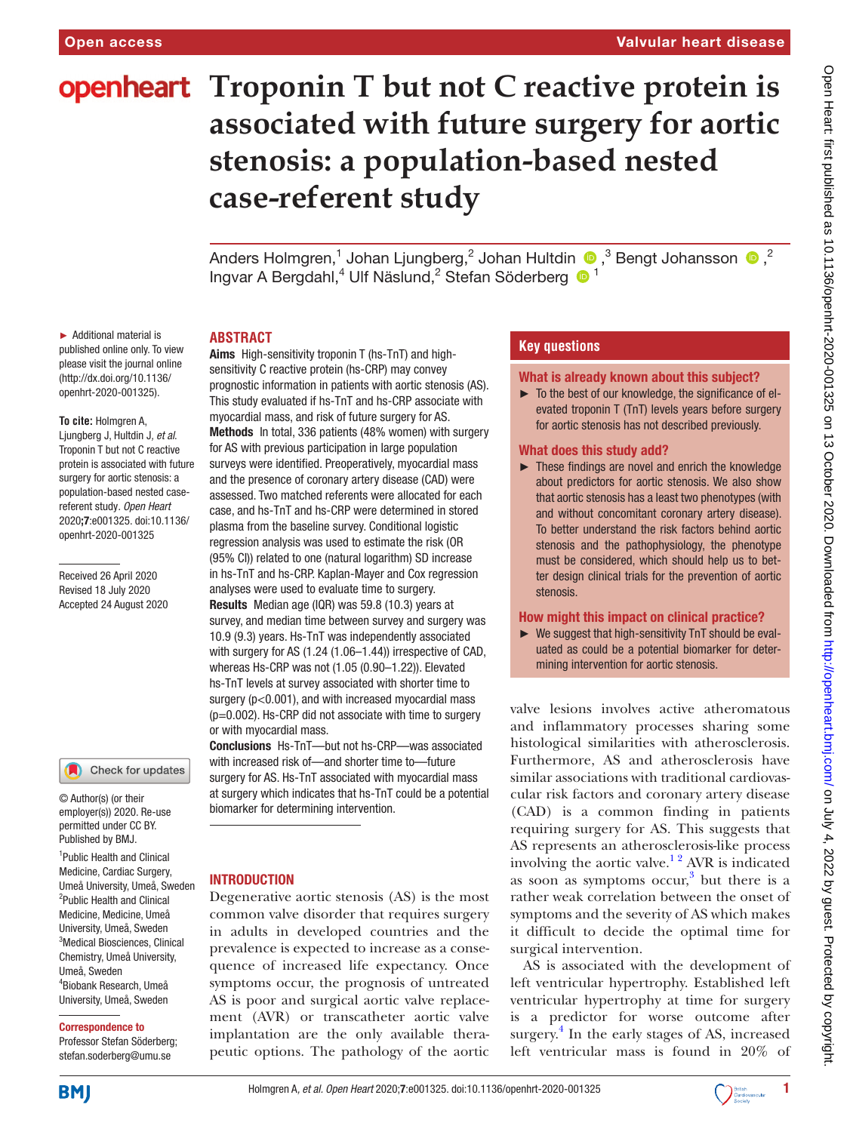# **openheart** Troponin T but not C reactive protein is **associated with future surgery for aortic stenosis: a population-based nested case-referent study**

AndersHolmgren,<sup>1</sup> Johan Ljungberg,<sup>2</sup> Johan Hultdin  $\bigcirc$  ,<sup>3</sup> Bengt Johansson  $\bigcirc$  ,<sup>2</sup> Ingvar A Bergdahl,<sup>4</sup> Ulf Näslund,<sup>2</sup> Stefan Söderberg <sup>1</sup>

# **ABSTRACT**

► Additional material is published online only. To view please visit the journal online (http://dx.doi.org/10.1136/ openhrt-2020-001325).

# **To cite:** Holmgren A,

Ljungberg J, Hultdin J*, et al*. Troponin T but not C reactive protein is associated with future surgery for aortic stenosis: a population-based nested casereferent study*. Open Heart* 2020;7:e001325. doi:10.1136/ openhrt-2020-001325

Received 26 April 2020 Revised 18 July 2020 Accepted 24 August 2020

# Check for updates

© Author(s) (or their employer(s)) 2020. Re-use permitted under CC BY. Published by BMJ.

1 Public Health and Clinical Medicine, Cardiac Surgery, Umeå University, Umeå, Sweden <sup>2</sup>Public Health and Clinical Medicine, Medicine, Umeå University, Umeå, Sweden 3 Medical Biosciences, Clinical Chemistry, Umeå University, Umeå, Sweden 4 Biobank Research, Umeå University, Umeå, Sweden

#### Correspondence to

Professor Stefan Söderberg; stefan.soderberg@umu.se

Aims High-sensitivity troponin T (hs-TnT) and highsensitivity C reactive protein (hs-CRP) may convey prognostic information in patients with aortic stenosis (AS). This study evaluated if hs-TnT and hs-CRP associate with myocardial mass, and risk of future surgery for AS. Methods In total, 336 patients (48% women) with surgery for AS with previous participation in large population surveys were identified. Preoperatively, myocardial mass and the presence of coronary artery disease (CAD) were assessed. Two matched referents were allocated for each case, and hs-TnT and hs-CRP were determined in stored plasma from the baseline survey. Conditional logistic regression analysis was used to estimate the risk (OR (95% CI)) related to one (natural logarithm) SD increase in hs-TnT and hs-CRP. Kaplan-Mayer and Cox regression analyses were used to evaluate time to surgery. Results Median age (IQR) was 59.8 (10.3) years at survey, and median time between survey and surgery was 10.9 (9.3) years. Hs-TnT was independently associated with surgery for AS (1.24 (1.06–1.44)) irrespective of CAD, whereas Hs-CRP was not (1.05 (0.90–1.22)). Elevated hs-TnT levels at survey associated with shorter time to surgery (p<0.001), and with increased myocardial mass (p=0.002). Hs-CRP did not associate with time to surgery or with myocardial mass.

Conclusions Hs-TnT—but not hs-CRP—was associated with increased risk of—and shorter time to—future surgery for AS. Hs-TnT associated with myocardial mass at surgery which indicates that hs-TnT could be a potential biomarker for determining intervention.

# INTRODUCTION

Degenerative aortic stenosis (AS) is the most common valve disorder that requires surgery in adults in developed countries and the prevalence is expected to increase as a consequence of increased life expectancy. Once symptoms occur, the prognosis of untreated AS is poor and surgical aortic valve replacement (AVR) or transcatheter aortic valve implantation are the only available therapeutic options. The pathology of the aortic

# **Key questions**

#### What is already known about this subject?

► To the best of our knowledge, the significance of elevated troponin T (TnT) levels years before surgery for aortic stenosis has not described previously.

#### What does this study add?

► These findings are novel and enrich the knowledge about predictors for aortic stenosis. We also show that aortic stenosis has a least two phenotypes (with and without concomitant coronary artery disease). To better understand the risk factors behind aortic stenosis and the pathophysiology, the phenotype must be considered, which should help us to better design clinical trials for the prevention of aortic stenosis.

#### How might this impact on clinical practice?

 $\triangleright$  We suggest that high-sensitivity TnT should be evaluated as could be a potential biomarker for determining intervention for aortic stenosis.

valve lesions involves active atheromatous and inflammatory processes sharing some histological similarities with atherosclerosis. Furthermore, AS and atherosclerosis have similar associations with traditional cardiovascular risk factors and coronary artery disease (CAD) is a common finding in patients requiring surgery for AS. This suggests that AS represents an atherosclerosis-like process involving the aortic valve.<sup>12</sup> AVR is indicated as soon as symptoms occur, $3$  but there is a rather weak correlation between the onset of symptoms and the severity of AS which makes it difficult to decide the optimal time for surgical intervention.

AS is associated with the development of left ventricular hypertrophy. Established left ventricular hypertrophy at time for surgery is a predictor for worse outcome after surgery.<sup>[4](#page-8-2)</sup> In the early stages of AS, increased left ventricular mass is found in 20% of



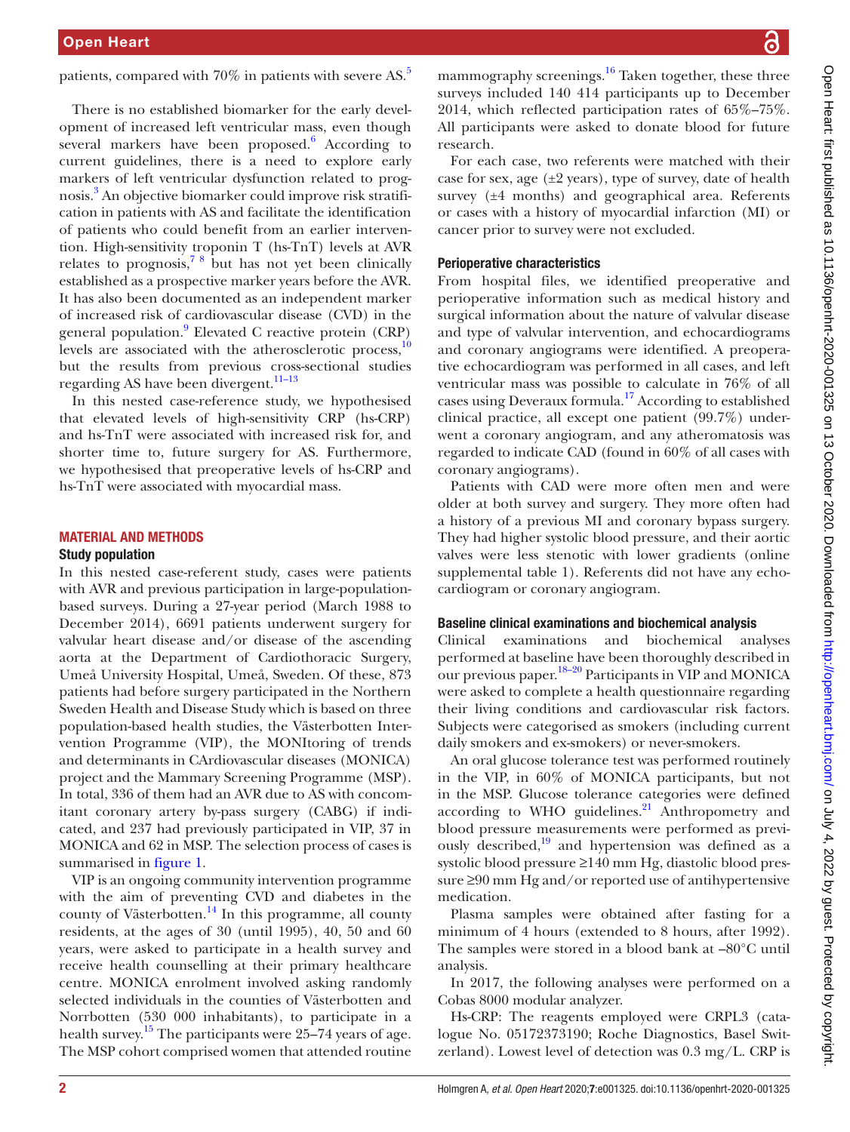patients, compared with  $70\%$  in patients with severe AS.<sup>[5](#page-8-3)</sup>

There is no established biomarker for the early development of increased left ventricular mass, even though several markers have been proposed.<sup>[6](#page-8-4)</sup> According to current guidelines, there is a need to explore early markers of left ventricular dysfunction related to prognosis.[3](#page-8-1) An objective biomarker could improve risk stratification in patients with AS and facilitate the identification of patients who could benefit from an earlier intervention. High-sensitivity troponin T (hs-TnT) levels at AVR relates to prognosis,<sup>78</sup> but has not yet been clinically established as a prospective marker years before the AVR. It has also been documented as an independent marker of increased risk of cardiovascular disease (CVD) in the general population.<sup>[9](#page-8-6)</sup> Elevated C reactive protein (CRP) levels are associated with the atherosclerotic process,<sup>10</sup> but the results from previous cross-sectional studies regarding AS have been divergent.[11–13](#page-8-8)

In this nested case-reference study, we hypothesised that elevated levels of high-sensitivity CRP (hs-CRP) and hs-TnT were associated with increased risk for, and shorter time to, future surgery for AS. Furthermore, we hypothesised that preoperative levels of hs-CRP and hs-TnT were associated with myocardial mass.

#### MATERIAL AND METHODS

#### Study population

In this nested case-referent study, cases were patients with AVR and previous participation in large-populationbased surveys. During a 27-year period (March 1988 to December 2014), 6691 patients underwent surgery for valvular heart disease and/or disease of the ascending aorta at the Department of Cardiothoracic Surgery, Umeå University Hospital, Umeå, Sweden. Of these, 873 patients had before surgery participated in the Northern Sweden Health and Disease Study which is based on three population-based health studies, the Västerbotten Intervention Programme (VIP), the MONItoring of trends and determinants in CArdiovascular diseases (MONICA) project and the Mammary Screening Programme (MSP). In total, 336 of them had an AVR due to AS with concomitant coronary artery by-pass surgery (CABG) if indicated, and 237 had previously participated in VIP, 37 in MONICA and 62 in MSP. The selection process of cases is summarised in [figure](#page-2-0) 1.

VIP is an ongoing community intervention programme with the aim of preventing CVD and diabetes in the county of Västerbotten.<sup>14</sup> In this programme, all county residents, at the ages of 30 (until 1995), 40, 50 and 60 years, were asked to participate in a health survey and receive health counselling at their primary healthcare centre. MONICA enrolment involved asking randomly selected individuals in the counties of Västerbotten and Norrbotten (530 000 inhabitants), to participate in a health survey.<sup>15</sup> The participants were 25–74 years of age. The MSP cohort comprised women that attended routine

mammography screenings. $16$  Taken together, these three surveys included 140 414 participants up to December 2014, which reflected participation rates of 65%–75%. All participants were asked to donate blood for future research.

For each case, two referents were matched with their case for sex, age  $(\pm 2 \text{ years})$ , type of survey, date of health survey (±4 months) and geographical area. Referents or cases with a history of myocardial infarction (MI) or cancer prior to survey were not excluded.

#### Perioperative characteristics

From hospital files, we identified preoperative and perioperative information such as medical history and surgical information about the nature of valvular disease and type of valvular intervention, and echocardiograms and coronary angiograms were identified. A preoperative echocardiogram was performed in all cases, and left ventricular mass was possible to calculate in 76% of all cases using Deveraux formula.[17](#page-8-12) According to established clinical practice, all except one patient (99.7%) underwent a coronary angiogram, and any atheromatosis was regarded to indicate CAD (found in 60% of all cases with coronary angiograms).

Patients with CAD were more often men and were older at both survey and surgery. They more often had a history of a previous MI and coronary bypass surgery. They had higher systolic blood pressure, and their aortic valves were less stenotic with lower gradients ([online](https://dx.doi.org/10.1136/openhrt-2020-001325)  [supplemental table 1\)](https://dx.doi.org/10.1136/openhrt-2020-001325). Referents did not have any echocardiogram or coronary angiogram.

#### Baseline clinical examinations and biochemical analysis

Clinical examinations and biochemical analyses performed at baseline have been thoroughly described in our previous paper. $18-20$  Participants in VIP and MONICA were asked to complete a health questionnaire regarding their living conditions and cardiovascular risk factors. Subjects were categorised as smokers (including current daily smokers and ex-smokers) or never-smokers.

An oral glucose tolerance test was performed routinely in the VIP, in 60% of MONICA participants, but not in the MSP. Glucose tolerance categories were defined according to WHO guidelines.<sup>21</sup> Anthropometry and blood pressure measurements were performed as previously described, $\frac{19}{9}$  and hypertension was defined as a systolic blood pressure ≥140 mm Hg, diastolic blood pressure ≥90 mm Hg and/or reported use of antihypertensive medication.

Plasma samples were obtained after fasting for a minimum of 4 hours (extended to 8 hours, after 1992). The samples were stored in a blood bank at –80°C until analysis.

In 2017, the following analyses were performed on a Cobas 8000 modular analyzer.

Hs-CRP: The reagents employed were CRPL3 (catalogue No. 05172373190; Roche Diagnostics, Basel Switzerland). Lowest level of detection was 0.3 mg/L. CRP is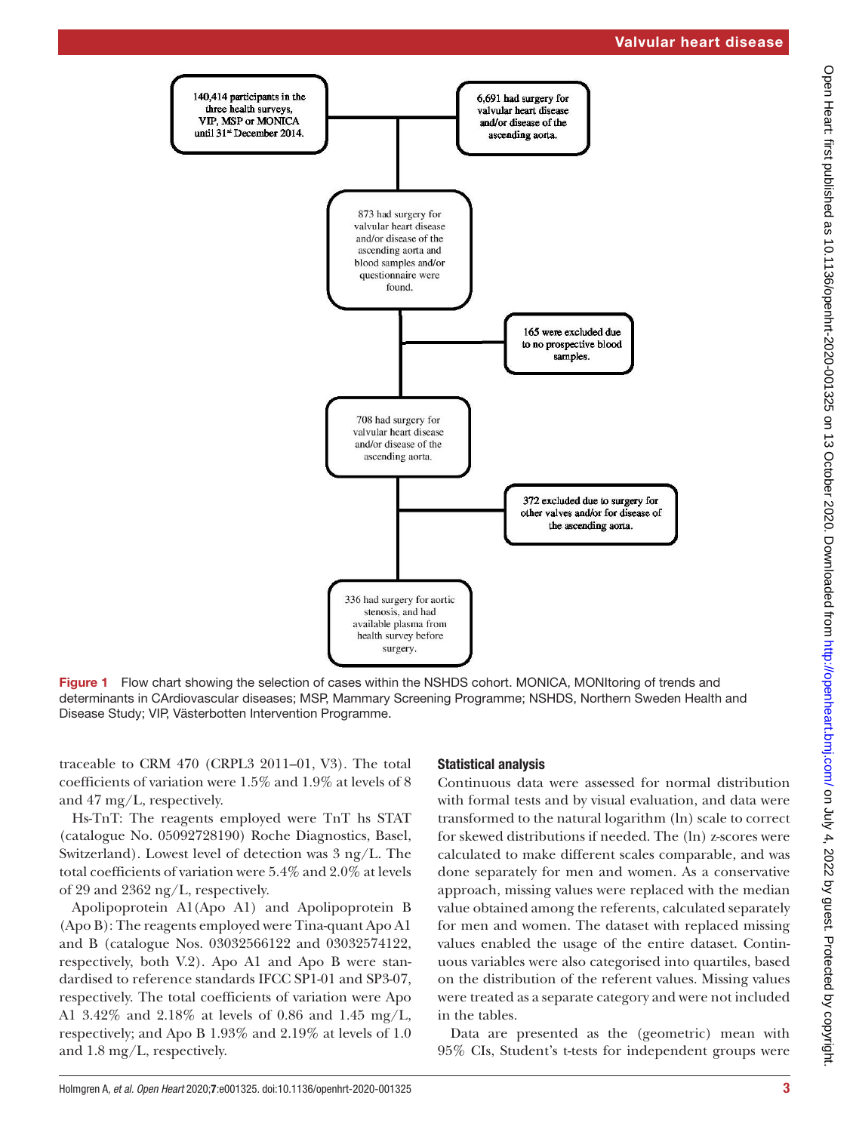

Figure 1 Flow chart showing the selection of cases within the NSHDS cohort. MONICA, MONItoring of trends and determinants in CArdiovascular diseases; MSP, Mammary Screening Programme; NSHDS, Northern Sweden Health and Disease Study; VIP, Västerbotten Intervention Programme.

traceable to CRM 470 (CRPL3 2011–01, V3). The total coefficients of variation were 1.5% and 1.9% at levels of 8 and 47 mg/L, respectively.

Hs-TnT: The reagents employed were TnT hs STAT (catalogue No. 05092728190) Roche Diagnostics, Basel, Switzerland). Lowest level of detection was 3 ng/L. The total coefficients of variation were 5.4% and 2.0% at levels of 29 and 2362 ng/L, respectively.

Apolipoprotein A1(Apo A1) and Apolipoprotein B (Apo B): The reagents employed were Tina-quant Apo A1 and B (catalogue Nos. 03032566122 and 03032574122, respectively, both V.2). Apo A1 and Apo B were standardised to reference standards IFCC SP1-01 and SP3-07, respectively. The total coefficients of variation were Apo A1 3.42% and 2.18% at levels of 0.86 and 1.45 mg/L, respectively; and Apo B 1.93% and 2.19% at levels of 1.0 and 1.8 mg/L, respectively.

# <span id="page-2-0"></span>Statistical analysis

Continuous data were assessed for normal distribution with formal tests and by visual evaluation, and data were transformed to the natural logarithm (ln) scale to correct for skewed distributions if needed. The (ln) z-scores were calculated to make different scales comparable, and was done separately for men and women. As a conservative approach, missing values were replaced with the median value obtained among the referents, calculated separately for men and women. The dataset with replaced missing values enabled the usage of the entire dataset. Continuous variables were also categorised into quartiles, based on the distribution of the referent values. Missing values were treated as a separate category and were not included in the tables.

Data are presented as the (geometric) mean with 95% CIs, Student's t-tests for independent groups were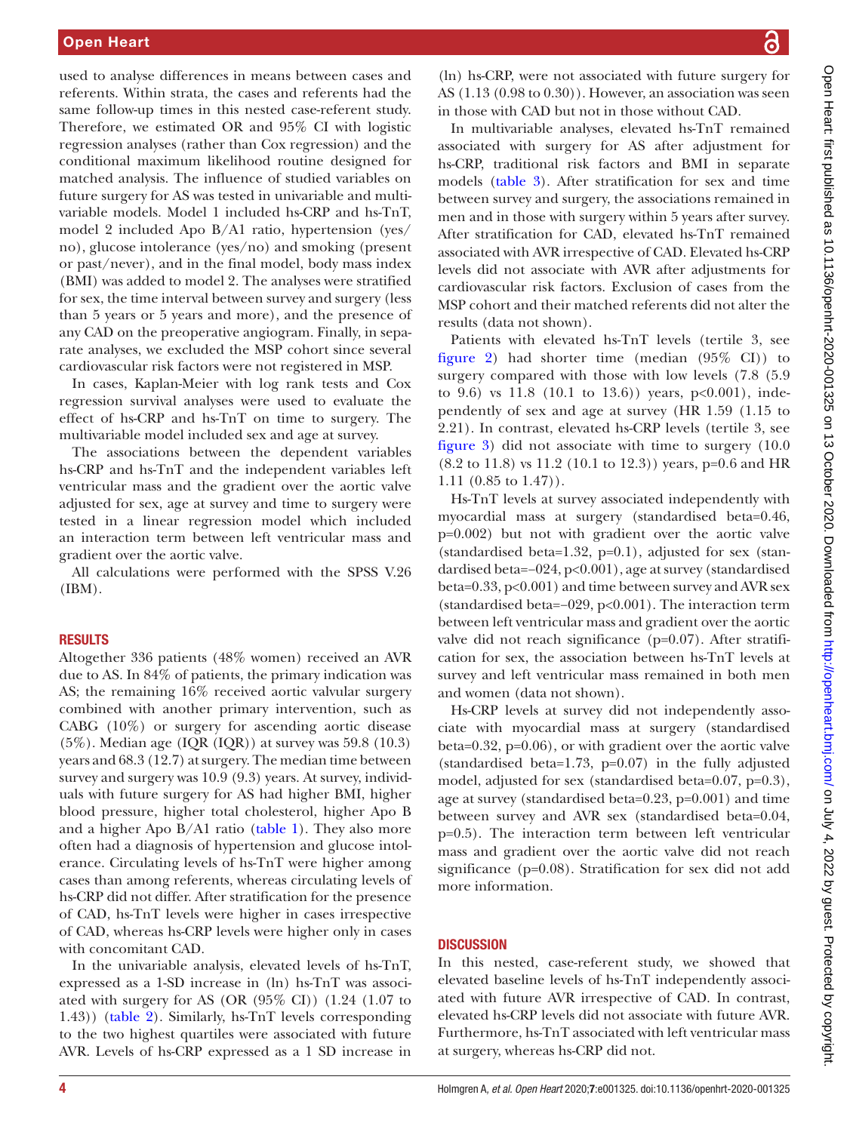used to analyse differences in means between cases and referents. Within strata, the cases and referents had the same follow-up times in this nested case-referent study. Therefore, we estimated OR and 95% CI with logistic regression analyses (rather than Cox regression) and the conditional maximum likelihood routine designed for matched analysis. The influence of studied variables on future surgery for AS was tested in univariable and multivariable models. Model 1 included hs-CRP and hs-TnT, model 2 included Apo B/A1 ratio, hypertension (yes/ no), glucose intolerance (yes/no) and smoking (present or past/never), and in the final model, body mass index (BMI) was added to model 2. The analyses were stratified for sex, the time interval between survey and surgery (less than 5 years or 5 years and more), and the presence of any CAD on the preoperative angiogram. Finally, in separate analyses, we excluded the MSP cohort since several cardiovascular risk factors were not registered in MSP.

In cases, Kaplan-Meier with log rank tests and Cox regression survival analyses were used to evaluate the effect of hs-CRP and hs-TnT on time to surgery. The multivariable model included sex and age at survey.

The associations between the dependent variables hs-CRP and hs-TnT and the independent variables left ventricular mass and the gradient over the aortic valve adjusted for sex, age at survey and time to surgery were tested in a linear regression model which included an interaction term between left ventricular mass and gradient over the aortic valve.

All calculations were performed with the SPSS V.26  $(IBM)$ .

#### RESULTS

Altogether 336 patients (48% women) received an AVR due to AS. In 84% of patients, the primary indication was AS; the remaining 16% received aortic valvular surgery combined with another primary intervention, such as CABG (10%) or surgery for ascending aortic disease (5%). Median age (IQR (IQR)) at survey was 59.8 (10.3) years and 68.3 (12.7) at surgery. The median time between survey and surgery was 10.9 (9.3) years. At survey, individuals with future surgery for AS had higher BMI, higher blood pressure, higher total cholesterol, higher Apo B and a higher Apo B/A1 ratio [\(table](#page-4-0) 1). They also more often had a diagnosis of hypertension and glucose intolerance. Circulating levels of hs-TnT were higher among cases than among referents, whereas circulating levels of hs-CRP did not differ. After stratification for the presence of CAD, hs-TnT levels were higher in cases irrespective of CAD, whereas hs-CRP levels were higher only in cases with concomitant CAD.

In the univariable analysis, elevated levels of hs-TnT, expressed as a 1-SD increase in (ln) hs-TnT was associated with surgery for AS (OR (95% CI)) (1.24 (1.07 to 1.43)) ([table](#page-5-0) 2). Similarly, hs-TnT levels corresponding to the two highest quartiles were associated with future AVR. Levels of hs-CRP expressed as a 1 SD increase in

Open Heart: first published as 10.1136/openhrt-2020-001325 on 13 October 2020. Downloaded from http://openheart.bmj.com/ on July 4, 2022 by guest. Protected by copyright. Open Heart: first published as 10.1136/openhrt-2020-001325 on 13 October 2020. Downloaded from <http://openheart.bmj.com/> on July 4, 2022 by guest. Protected by copyright.

(ln) hs-CRP, were not associated with future surgery for AS (1.13 (0.98 to 0.30)). However, an association was seen in those with CAD but not in those without CAD.

In multivariable analyses, elevated hs-TnT remained associated with surgery for AS after adjustment for hs-CRP, traditional risk factors and BMI in separate models [\(table](#page-6-0) 3). After stratification for sex and time between survey and surgery, the associations remained in men and in those with surgery within 5 years after survey. After stratification for CAD, elevated hs-TnT remained associated with AVR irrespective of CAD. Elevated hs-CRP levels did not associate with AVR after adjustments for cardiovascular risk factors. Exclusion of cases from the MSP cohort and their matched referents did not alter the results (data not shown).

Patients with elevated hs-TnT levels (tertile 3, see [figure](#page-7-0) 2) had shorter time (median (95% CI)) to surgery compared with those with low levels (7.8 (5.9 to 9.6) vs 11.8 (10.1 to 13.6)) years, p<0.001), independently of sex and age at survey (HR 1.59 (1.15 to 2.21). In contrast, elevated hs-CRP levels (tertile 3, see [figure](#page-7-1) 3) did not associate with time to surgery (10.0 (8.2 to 11.8) vs 11.2 (10.1 to 12.3)) years, p=0.6 and HR 1.11 (0.85 to 1.47)).

Hs-TnT levels at survey associated independently with myocardial mass at surgery (standardised beta=0.46, p=0.002) but not with gradient over the aortic valve (standardised beta=1.32, p=0.1), adjusted for sex (standardised beta=−024, p<0.001), age at survey (standardised beta=0.33, p<0.001) and time between survey and AVR sex (standardised beta=−029, p<0.001). The interaction term between left ventricular mass and gradient over the aortic valve did not reach significance (p=0.07). After stratification for sex, the association between hs-TnT levels at survey and left ventricular mass remained in both men and women (data not shown).

Hs-CRP levels at survey did not independently associate with myocardial mass at surgery (standardised beta=0.32, p=0.06), or with gradient over the aortic valve (standardised beta=1.73, p=0.07) in the fully adjusted model, adjusted for sex (standardised beta=0.07, p=0.3), age at survey (standardised beta=0.23, p=0.001) and time between survey and AVR sex (standardised beta=0.04, p=0.5). The interaction term between left ventricular mass and gradient over the aortic valve did not reach significance (p=0.08). Stratification for sex did not add more information.

# **DISCUSSION**

In this nested, case-referent study, we showed that elevated baseline levels of hs-TnT independently associated with future AVR irrespective of CAD. In contrast, elevated hs-CRP levels did not associate with future AVR. Furthermore, hs-TnT associated with left ventricular mass at surgery, whereas hs-CRP did not.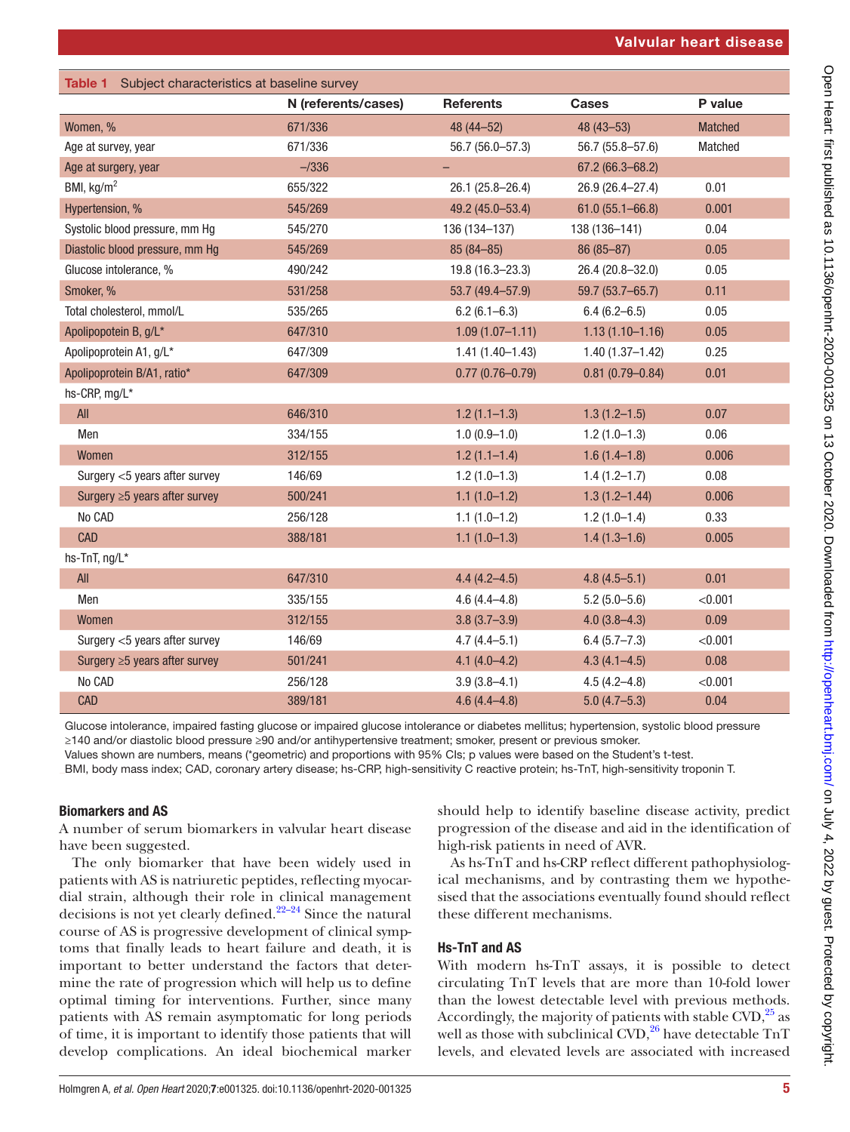<span id="page-4-0"></span>

| Table 1 Subject characteristics at baseline survey |                     |                     |                     |                |
|----------------------------------------------------|---------------------|---------------------|---------------------|----------------|
|                                                    | N (referents/cases) | <b>Referents</b>    | <b>Cases</b>        | P value        |
| Women, %                                           | 671/336             | 48 (44-52)          | $48(43 - 53)$       | <b>Matched</b> |
| Age at survey, year                                | 671/336             | 56.7 (56.0-57.3)    | 56.7 (55.8-57.6)    | Matched        |
| Age at surgery, year                               | $- / 336$           |                     | 67.2 (66.3-68.2)    |                |
| BMI, $kg/m2$                                       | 655/322             | 26.1 (25.8-26.4)    | 26.9 (26.4-27.4)    | 0.01           |
| Hypertension, %                                    | 545/269             | 49.2 (45.0-53.4)    | $61.0(55.1 - 66.8)$ | 0.001          |
| Systolic blood pressure, mm Hg                     | 545/270             | 136 (134-137)       | 138 (136-141)       | 0.04           |
| Diastolic blood pressure, mm Hg                    | 545/269             | 85 (84-85)          | 86 (85-87)          | 0.05           |
| Glucose intolerance, %                             | 490/242             | 19.8 (16.3-23.3)    | 26.4 (20.8-32.0)    | 0.05           |
| Smoker, %                                          | 531/258             | 53.7 (49.4-57.9)    | 59.7 (53.7-65.7)    | 0.11           |
| Total cholesterol, mmol/L                          | 535/265             | $6.2(6.1 - 6.3)$    | $6.4(6.2 - 6.5)$    | 0.05           |
| Apolipopotein B, g/L*                              | 647/310             | $1.09(1.07 - 1.11)$ | $1.13(1.10 - 1.16)$ | 0.05           |
| Apolipoprotein A1, g/L*                            | 647/309             | $1.41(1.40 - 1.43)$ | $1.40(1.37 - 1.42)$ | 0.25           |
| Apolipoprotein B/A1, ratio*                        | 647/309             | $0.77(0.76 - 0.79)$ | $0.81(0.79 - 0.84)$ | 0.01           |
| hs-CRP, mg/L*                                      |                     |                     |                     |                |
| All                                                | 646/310             | $1.2(1.1-1.3)$      | $1.3(1.2 - 1.5)$    | 0.07           |
| Men                                                | 334/155             | $1.0(0.9-1.0)$      | $1.2(1.0-1.3)$      | 0.06           |
| Women                                              | 312/155             | $1.2(1.1-1.4)$      | $1.6(1.4-1.8)$      | 0.006          |
| Surgery <5 years after survey                      | 146/69              | $1.2(1.0-1.3)$      | $1.4(1.2 - 1.7)$    | 0.08           |
| Surgery $\geq 5$ years after survey                | 500/241             | $1.1(1.0-1.2)$      | $1.3(1.2 - 1.44)$   | 0.006          |
| No CAD                                             | 256/128             | $1.1(1.0-1.2)$      | $1.2(1.0-1.4)$      | 0.33           |
| <b>CAD</b>                                         | 388/181             | $1.1(1.0-1.3)$      | $1.4(1.3-1.6)$      | 0.005          |
| hs-TnT, ng/L*                                      |                     |                     |                     |                |
| All                                                | 647/310             | $4.4(4.2 - 4.5)$    | $4.8(4.5 - 5.1)$    | 0.01           |
| Men                                                | 335/155             | $4.6(4.4 - 4.8)$    | $5.2(5.0-5.6)$      | < 0.001        |
| Women                                              | 312/155             | $3.8(3.7 - 3.9)$    | $4.0(3.8-4.3)$      | 0.09           |
| Surgery <5 years after survey                      | 146/69              | $4.7(4.4 - 5.1)$    | $6.4(5.7 - 7.3)$    | < 0.001        |
| Surgery $\geq$ 5 years after survey                | 501/241             | $4.1(4.0-4.2)$      | $4.3(4.1 - 4.5)$    | 0.08           |
| No CAD                                             | 256/128             | $3.9(3.8 - 4.1)$    | $4.5(4.2 - 4.8)$    | < 0.001        |
| <b>CAD</b>                                         | 389/181             | $4.6(4.4 - 4.8)$    | $5.0(4.7 - 5.3)$    | 0.04           |

Glucose intolerance, impaired fasting glucose or impaired glucose intolerance or diabetes mellitus; hypertension, systolic blood pressure ≥140 and/or diastolic blood pressure ≥90 and/or antihypertensive treatment; smoker, present or previous smoker.

Values shown are numbers, means (\*geometric) and proportions with 95% CIs; p values were based on the Student's t-test.

BMI, body mass index; CAD, coronary artery disease; hs-CRP, high-sensitivity C reactive protein; hs-TnT, high-sensitivity troponin T.

# Biomarkers and AS

A number of serum biomarkers in valvular heart disease have been suggested.

The only biomarker that have been widely used in patients with AS is natriuretic peptides, reflecting myocardial strain, although their role in clinical management decisions is not yet clearly defined.[22–24](#page-8-16) Since the natural course of AS is progressive development of clinical symptoms that finally leads to heart failure and death, it is important to better understand the factors that determine the rate of progression which will help us to define optimal timing for interventions. Further, since many patients with AS remain asymptomatic for long periods of time, it is important to identify those patients that will develop complications. An ideal biochemical marker

should help to identify baseline disease activity, predict progression of the disease and aid in the identification of high-risk patients in need of AVR.

As hs-TnT and hs-CRP reflect different pathophysiological mechanisms, and by contrasting them we hypothesised that the associations eventually found should reflect these different mechanisms.

# Hs-TnT and AS

With modern hs-TnT assays, it is possible to detect circulating TnT levels that are more than 10-fold lower than the lowest detectable level with previous methods. Accordingly, the majority of patients with stable  $CVD$ ,  $^{25}$  as well as those with subclinical CVD, $^{26}$  have detectable TnT levels, and elevated levels are associated with increased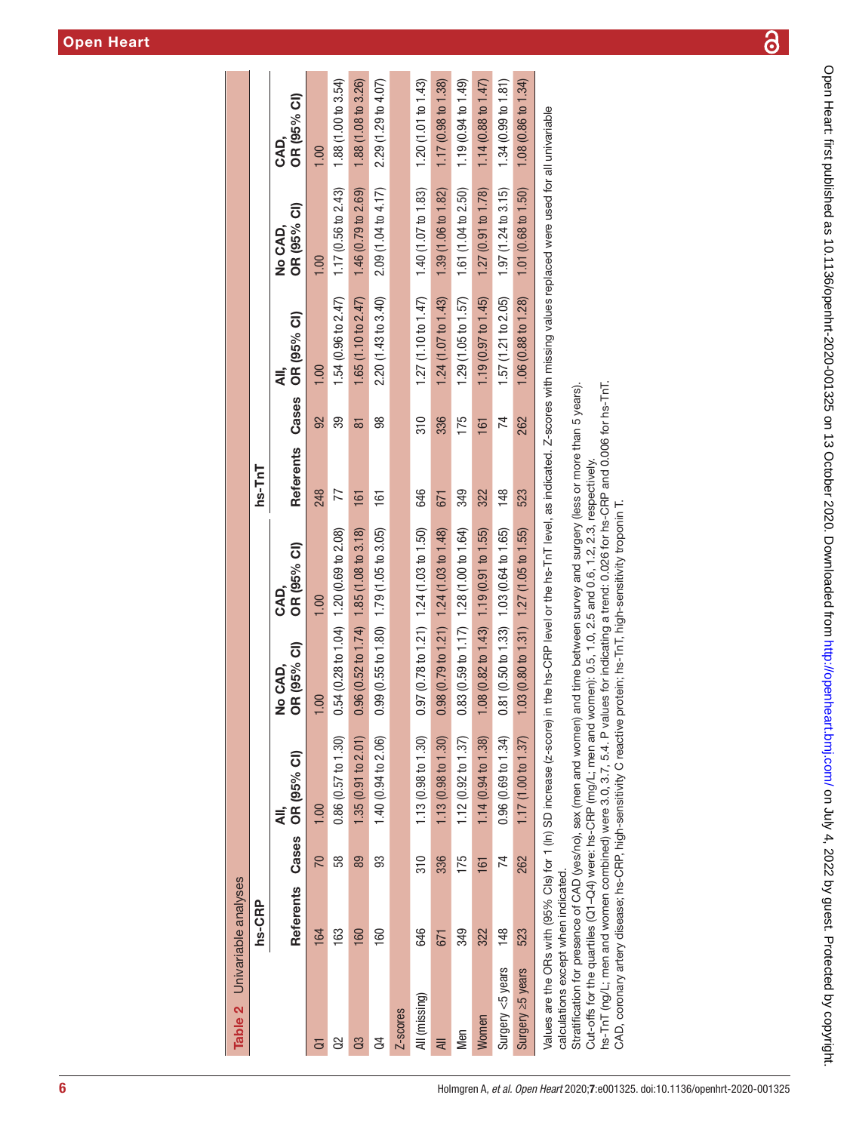|                  | Table 2 Univariable analyses        |               |                                                                                                                                                                                               |                                                              |                                                  |                  |                 |                                |                        |                       |
|------------------|-------------------------------------|---------------|-----------------------------------------------------------------------------------------------------------------------------------------------------------------------------------------------|--------------------------------------------------------------|--------------------------------------------------|------------------|-----------------|--------------------------------|------------------------|-----------------------|
|                  | hs-CRP                              |               |                                                                                                                                                                                               |                                                              |                                                  | hs-TnT           |                 |                                |                        |                       |
|                  | <b>Referents</b>                    | Cases         | OR (95% CI)<br>₹                                                                                                                                                                              | OR (95% CI)<br>No CAD,                                       | OR (95% CI)<br>O<br>AD.                          | <b>Referents</b> | Cases           | OR (95% CI)<br>₹               | OR (95% CI)<br>No CAD, | OR (95% CI)<br>CAD,   |
|                  | 164                                 | 70            | 1.00                                                                                                                                                                                          | 00                                                           | 1,00                                             | 248              | 92              | 1.00                           | 1.00                   | 1.00                  |
| 8                | 163                                 | 58            | 0.86(0.57 to 1.30)                                                                                                                                                                            | $0.54(0.28 \text{ to } 1.04)$ 1.20 (0.69 to 2.08)            |                                                  | 77               | 39              | 1.54 (0.96 to 2.47)            | 1.17 (0.56 to 2.43)    | 1.88 (1.00 to 3.54)   |
| පි               | 160                                 | 89            | 1.35(0.91 to 2.01)                                                                                                                                                                            | $0.96(0.52 \text{ to } 1.74)$ 1.85 (1.08 to 3.18)            |                                                  | 161              | 5               | 1.65 $(1.10$ to $2.47)$        | 1.46 (0.79 to 2.69)    | 1.88 (1.08 to 3.26)   |
| 3                | 160                                 | 93            | 1.40 (0.94 to 2.06)                                                                                                                                                                           | $0.99(0.55 \text{ to } 1.80)$ 1.79 (1.05 to 3.05)            |                                                  | $\frac{16}{1}$   | 88              | 2.20(1.43 to 3.40)             | 2.09 (1.04 to 4.17)    | 2.29 (1.29 to 4.07)   |
| Z-scores         |                                     |               |                                                                                                                                                                                               |                                                              |                                                  |                  |                 |                                |                        |                       |
| All (missing)    | 646                                 | $\frac{0}{3}$ | 1.13 (0.98 to 1.30)                                                                                                                                                                           | $0.97(0.78 \text{ to } 1.21)$ 1.24 (1.03 to 1.50)            |                                                  | 646              | $\frac{310}{5}$ | 1.27 $(1.10 \text{ to } 1.47)$ | 1.40 (1.07 to 1.83)    | 1.20 $(1.01 to 1.43)$ |
| ₹                | 671                                 | 336           | $1.13(0.98\text{ to }1.30)$                                                                                                                                                                   | $0.98(0.79 \text{ to } 1.21)$ 1.24 (1.03 to 1.48)            |                                                  | 671              | 336             | 1.24(1.07 to 1.43)             | 1.39 (1.06 to 1.82)    | 1.17(0.98 to 1.38)    |
| Men              | 349                                 | 175           | $1.12(0.92\text{ to }1.37)$                                                                                                                                                                   | $0.83(0.59 \text{ to } 1.17)$ 1.28 (1.00 to 1.64)            |                                                  | 349              | 175             | 1.29(1.05 to 1.57)             | 1.61 (1.04 to 2.50)    | 1.19 (0.94 to 1.49)   |
| Women            | 322                                 | 161           | $1.14(0.94 \text{ to } 1.38)$                                                                                                                                                                 | $1.08(0.82 \text{ to } 1.43)$ 1.19 $(0.91 \text{ to } 1.55)$ |                                                  | 322              | 161             | 1.19 (0.97 to 1.45)            | 1.27 (0.91 to 1.78)    | 1.14(0.88 t0 1.47)    |
| Surgery <5 years | 148                                 | 74            | 0.96(0.69 to 1.34)                                                                                                                                                                            | 0.81 (0.50 to 1.33) 1.03 (0.64 to 1.65)                      |                                                  | 148              | 74              | 1.57(1.21 to 2.05)             | 1.97(1.24 to 3.15)     | 1.34(0.99 to 1.81)    |
| Surgery 25 years | 523                                 | 262           | 1.17(1.00 to 1.37)                                                                                                                                                                            |                                                              | $.03(0.80 \text{ to } 1.31)$ 1.27 (1.05 to 1.55) | 523              | 262             | 1.06(0.88 t 01.28)             | 1.01 (0.68 to 1.50)    | 1.08 (0.86 to 1.34)   |
|                  | calculations except when indicated. |               | Values are the ORs with (95% Cls) for 1 (In) SD increase (z-score) in the hs-CRP level or the hs-TnT level, as indicated. Z-scores with missing values replaced were used for all univariable |                                                              |                                                  |                  |                 |                                |                        |                       |

calculations except when indicated.

conditions for presence of CAD (yes/no), sex (men and women) and time between survey and surgery (less or more than 5 years).<br>Stratification for presence of CAD (yes/no), sex (men and women): 0.5, 1.0, 2.5 and 0.6, 1.2, 2 Stratification for presence of CAD (yes/no), sex (men and women) and time between survey and surgery (less or more than 5 years).

Cut-offs for the quartiles (Q1–Q4) were: hs-CRP (mg/L; men and women): 0.5, 1.0, 2.5 and 0.6, 1.2, 2.3, respectively.

hs-TnT (ng/L; men and women combined) were 3.0, 3.7, 5.4. P values for indicating a trend: 0.026 for hs-CRP and 0.006 for hs-TnT. hs-TnT (ng/L; men and women combined) were 3.0, 3.7, 5.4. P values for indicating a trend: 0.026 for hs-CRP and 0.006 for hs-TnT.

<span id="page-5-0"></span>CAD, coronary artery disease; hs-CRP, high-sensitivity C reactive protein; hs-TnT, high-sensitivity troponin T. CAD, coronary artery disease; hs-CRP, high-sensitivity C reactive protein; hs-TnT, high-sensitivity troponin T.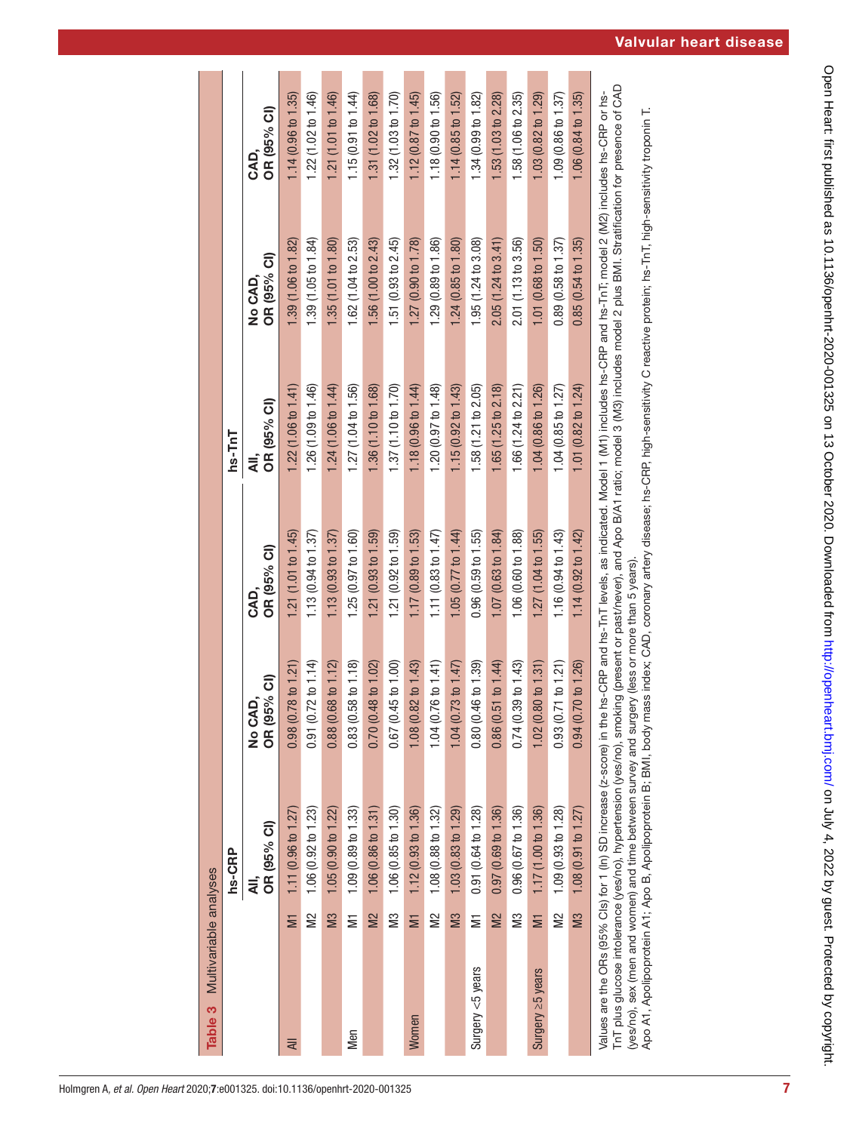<span id="page-6-0"></span>

| Table 3 Multivariable analyses |                         |                     |                                |                             |                     |                       |                             |
|--------------------------------|-------------------------|---------------------|--------------------------------|-----------------------------|---------------------|-----------------------|-----------------------------|
|                                |                         | hs-CRP              |                                |                             | hs-TnT              |                       |                             |
|                                |                         | OR (95% CI)<br>₹    | OR (95% CI)<br><b>QAD</b><br>ş | OR (95% CI)<br>Q<br>CAO     | OR (95% Cl)         | OR (95% CI)<br>No CAD | OR (95% CI)<br>Q<br>CAD.    |
| ₹                              | $\overline{\mathsf{M}}$ | 1.11(0.96 t0 1.27)  | 0.98(0.78 to 1.21)             | 1.21(1.01 to 1.45)          | 1.22(1.06 to 1.41)  | 1.39(1.06 to 1.82)    | $1.14(0.96\text{ to }1.35)$ |
|                                | $\approx$               | 1.06(0.92 to 1.23)  | 0.91(0.72 to 1.14)             | 1.13(0.94 to 1.37)          | 1.26(1.09 to 1.46)  | 1.39(1.05 to 1.84)    | 1.22(1.02 to 1.46)          |
|                                | $\overline{M}$          | 1.05 (0.90 to 1.22) | 0.88(0.68 to 1.12)             | $1.13(0.93\text{ to }1.37)$ | 1.24(1.06 to 1.44)  | 1.35(1.01 to 1.80)    | 1.21(1.01 to 1.46)          |
| Men                            | $\overline{\mathsf{N}}$ | 1.09 (0.89 to 1.33) | 0.83(0.58 to 1.18)             | 1.25(0.97 to 1.60)          | 1.27 (1.04 to 1.56) | 1.62 (1.04 to 2.53)   | 1.15(0.91 to 1.44)          |
|                                | $\frac{2}{2}$           | 1.06(0.86 to 1.31)  | 0.70(0.48 to 1.02)             | 1.21(0.93 to 1.59)          | 1.36 (1.10 to 1.68) | 1.56 (1.00 to 2.43)   | 1.31(1.02 to 1.68)          |
|                                | М3                      | 1.06(0.85 to 1.30)  | 0.67(0.45 to 1.00)             | 1.21 (0.92 to 1.59)         | 1.37 (1.10 to 1.70) | $1.51$ (0.93 to 2.45) | 1.32(1.03 to 1.70)          |
| Women                          | $\overline{\mathsf{M}}$ | 1.12(0.93 to 1.36)  | 1.08 (0.82 to 1.43)            | $1.17(0.89\text{ to }1.53)$ | 1.18 (0.96 to 1.44) | 1.27(0.90 t0 1.78)    | $1.12(0.87t$ o $1.45)$      |
|                                | $\approx$               | 1.08 (0.88 to 1.32) | 1.04(0.76 to 1.41)             | 1.11(0.83 to 1.47)          | 1.20 (0.97 to 1.48) | 1.29 (0.89 to 1.86)   | 1.18(0.90 to 1.56)          |
|                                | $\overline{\mathbb{M}}$ | 1.03(0.83 to 1.29)  | 1.04(0.73 to 1.47)             | 1.05 (0.77 to 1.44)         | 1.15(0.92 to 1.43)  | 1.24(0.85 to 1.80)    | 1.14(0.85 to 1.52)          |
| Surgery <5 years               | $\overline{\mathsf{N}}$ | 0.91(0.64 to 1.28)  | 0.80(0.46 to 1.39)             | 0.96(0.59 to 1.55)          | 1.58 (1.21 to 2.05) | 1.95(1.24 to 3.08)    | 1.34(0.99 to 1.82)          |
|                                | $\geq$                  | 0.97(0.69 t 0 1.36) | 0.86(0.51 to 1.44)             | 1.07(0.63 to 1.84)          | 1.65(1.25 to 2.18)  | 2.05(1.24 to 3.41)    | 1.53(1.03 to 2.28)          |
|                                | Й3                      | 0.96(0.67 to 1.36)  | 0.74(0.39 to 1.43)             | 1.06 (0.60 to 1.88)         | 1.66(1.24 to 2.21)  | 2.01 (1.13 to 3.56)   | 1.58(1.06 to 2.35)          |
| Surgery 25 years               | $\overline{\mathsf{M}}$ | 1.17 (1.00 to 1.36) | 1.02(0.80 t0 1.31)             | 1.27 (1.04 to 1.55)         | 1.04 (0.86 to 1.26) | 1.01(0.68 to 1.50)    | 1.03(0.82 to 1.29)          |
|                                | $\approx$               | 1.09(0.93 to 1.28)  | 0.93(0.71 to 1.21)             | 1.16(0.94 to 1.43)          | 1.04(0.85 to 1.27)  | 0.89(0.58 to 1.37)    | $1.09(0.86 t_0 1.37)$       |
|                                | M <sub>3</sub>          | 1.08 (0.91 to 1.27) | 0.94(0.70 t0 1.26)             | 1.14(0.92 to 1.42)          | 1.01(0.82 to 1.24)  | 0.85(0.54 to 1.35)    | 1.06(0.84 to 1.35)          |

FnT plus glucose intolerance (yes/no), hypertension (yes/no), smoking (present or past/never), and Apo B/A1 ratio; model 3 (M3) includes model 2 plus BMI. Stratification for presence of CAD TnT plus glucose intolerance (yes/no), hypertension (yes/no), smoking (present or past/never), and Apo B/A1 ratio; model 3 (M3) includes model 2 plus BMI. Stratification for presence of CAD Values are the ORs (95% Cls) for 1 (In) SD increase (z-score) in the hs-CRP and hs-TnT levels, as indicated. Model 1 (M1) includes hs-CRP and hs-TnT; model 2 (M2) includes hs-CRP or hs-Values are the ORs (95% CIs) for 1 (ln) SD increase (z-score) in the hs-CRP and hs-TnT levels, as indicated. Model 1 (M1) includes hs-CRP and hs-TnT; model 2 (M2) includes hs-CRP or hs-(yes/no), sex (men and women) and time between survey and surgery (less or more than 5 years). (yes/no), sex (men and women) and time between survey and surgery (less or more than 5 years).

Apo A1, Apolipoprotein A1; Apo B, Apolipoprotein B; BMI, body mass index; CAD, coronary artery disease; hs-CRP, high-sensitivity C reactive protein; hs-TnT, high-sensitivity troponin T. Apo A1, Apolipoprotein A1; Apo B, Apolipoprotein B; BMI, body mass index; CAD, coronary artery disease; hs-CRP, high-sensitivity C reactive protein; hs-TnT, high-sensitivity troponin T.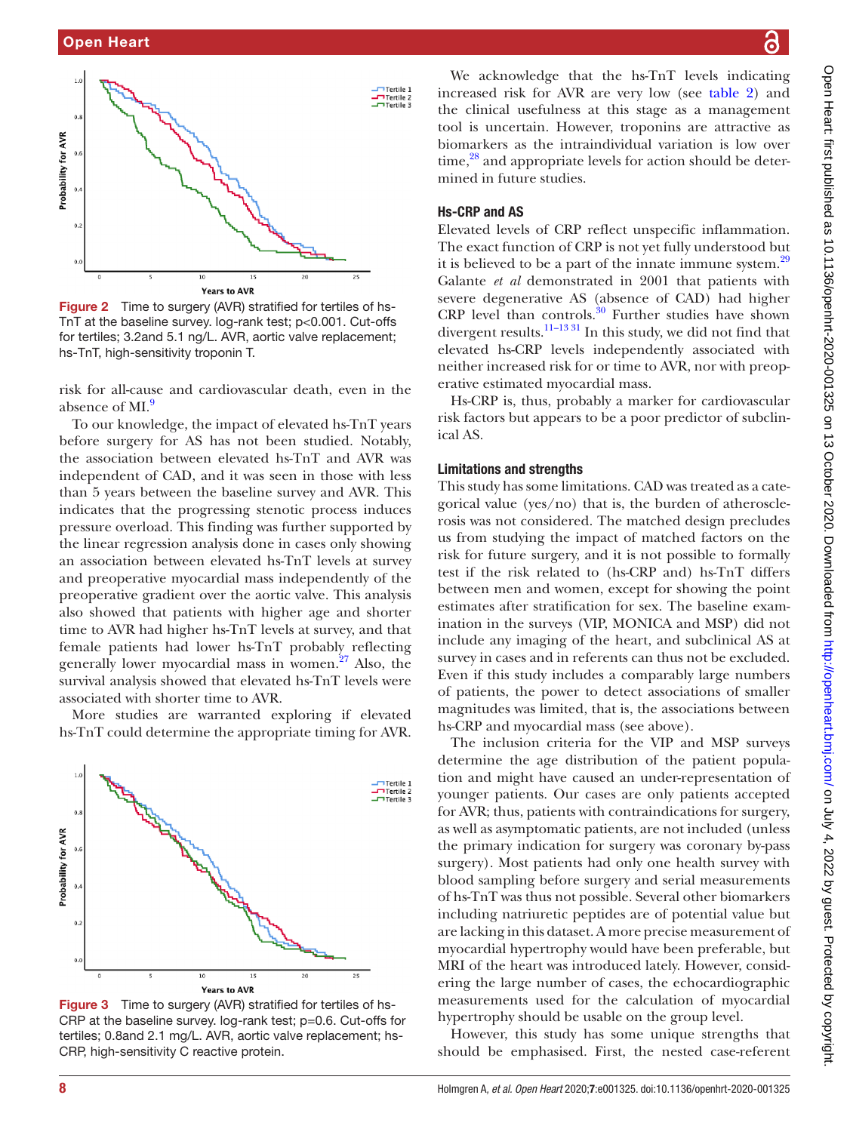

<span id="page-7-0"></span>Figure 2 Time to surgery (AVR) stratified for tertiles of hs-TnT at the baseline survey. log-rank test; p<0.001. Cut-offs for tertiles; 3.2and 5.1 ng/L. AVR, aortic valve replacement; hs-TnT, high-sensitivity troponin T.

risk for all-cause and cardiovascular death, even in the absence of ML<sup>9</sup>

To our knowledge, the impact of elevated hs-TnT years before surgery for AS has not been studied. Notably, the association between elevated hs-TnT and AVR was independent of CAD, and it was seen in those with less than 5 years between the baseline survey and AVR. This indicates that the progressing stenotic process induces pressure overload. This finding was further supported by the linear regression analysis done in cases only showing an association between elevated hs-TnT levels at survey and preoperative myocardial mass independently of the preoperative gradient over the aortic valve. This analysis also showed that patients with higher age and shorter time to AVR had higher hs-TnT levels at survey, and that female patients had lower hs-TnT probably reflecting generally lower myocardial mass in women.<sup>27</sup> Also, the survival analysis showed that elevated hs-TnT levels were associated with shorter time to AVR.

More studies are warranted exploring if elevated hs-TnT could determine the appropriate timing for AVR.



<span id="page-7-1"></span>**Figure 3** Time to surgery (AVR) stratified for tertiles of hs-CRP at the baseline survey. log-rank test; p=0.6. Cut-offs for tertiles; 0.8and 2.1 mg/L. AVR, aortic valve replacement; hs-CRP, high-sensitivity C reactive protein.

We acknowledge that the hs-TnT levels indicating increased risk for AVR are very low (see [table](#page-5-0) 2) and the clinical usefulness at this stage as a management tool is uncertain. However, troponins are attractive as biomarkers as the intraindividual variation is low over  $time<sup>28</sup>$  and appropriate levels for action should be determined in future studies.

# Hs-CRP and AS

Elevated levels of CRP reflect unspecific inflammation. The exact function of CRP is not yet fully understood but it is believed to be a part of the innate immune system.<sup>[29](#page-9-4)</sup> Galante *et al* demonstrated in 2001 that patients with severe degenerative AS (absence of CAD) had higher CRP level than controls.<sup>30</sup> Further studies have shown divergent results.<sup>11-13 31</sup> In this study, we did not find that elevated hs-CRP levels independently associated with neither increased risk for or time to AVR, nor with preoperative estimated myocardial mass.

Hs-CRP is, thus, probably a marker for cardiovascular risk factors but appears to be a poor predictor of subclinical AS.

#### Limitations and strengths

This study has some limitations. CAD was treated as a categorical value (yes/no) that is, the burden of atherosclerosis was not considered. The matched design precludes us from studying the impact of matched factors on the risk for future surgery, and it is not possible to formally test if the risk related to (hs-CRP and) hs-TnT differs between men and women, except for showing the point estimates after stratification for sex. The baseline examination in the surveys (VIP, MONICA and MSP) did not include any imaging of the heart, and subclinical AS at survey in cases and in referents can thus not be excluded. Even if this study includes a comparably large numbers of patients, the power to detect associations of smaller magnitudes was limited, that is, the associations between hs-CRP and myocardial mass (see above).

The inclusion criteria for the VIP and MSP surveys determine the age distribution of the patient population and might have caused an under-representation of younger patients. Our cases are only patients accepted for AVR; thus, patients with contraindications for surgery, as well as asymptomatic patients, are not included (unless the primary indication for surgery was coronary by-pass surgery). Most patients had only one health survey with blood sampling before surgery and serial measurements of hs-TnT was thus not possible. Several other biomarkers including natriuretic peptides are of potential value but are lacking in this dataset. A more precise measurement of myocardial hypertrophy would have been preferable, but MRI of the heart was introduced lately. However, considering the large number of cases, the echocardiographic measurements used for the calculation of myocardial hypertrophy should be usable on the group level.

However, this study has some unique strengths that should be emphasised. First, the nested case-referent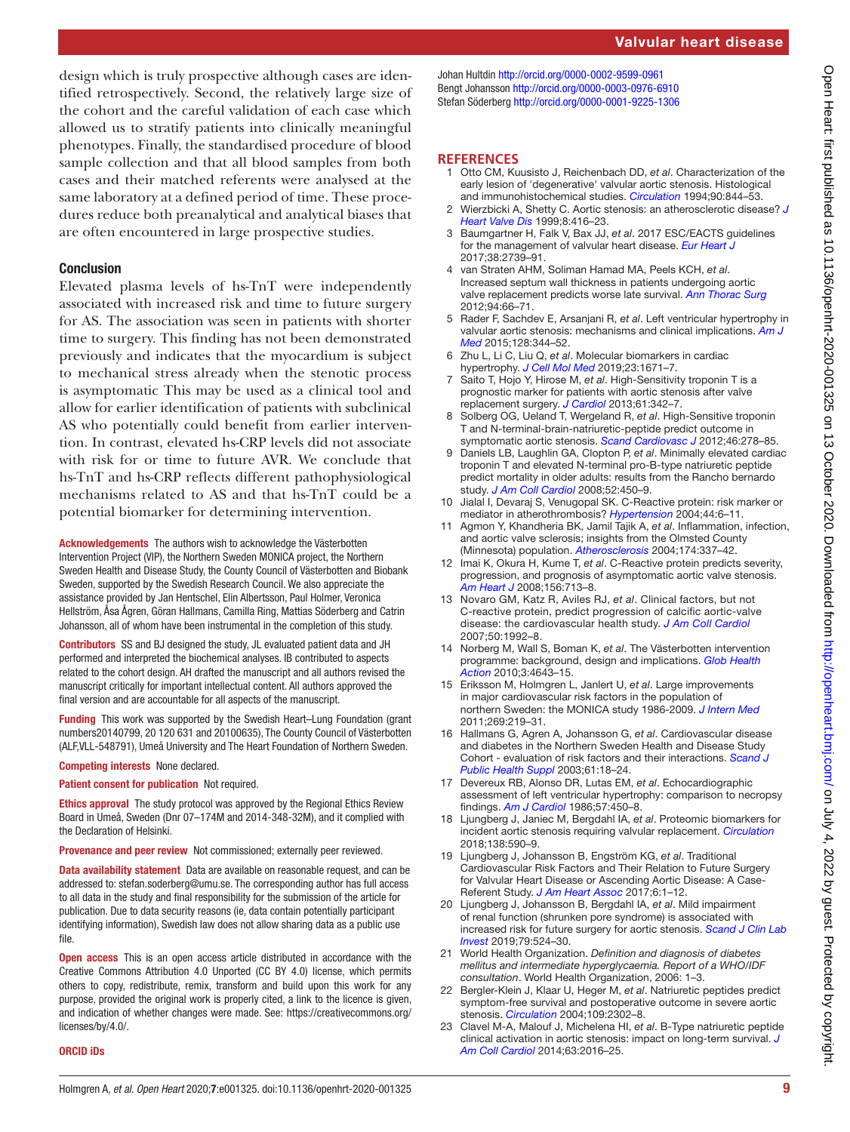design which is truly prospective although cases are identified retrospectively. Second, the relatively large size of the cohort and the careful validation of each case which allowed us to stratify patients into clinically meaningful phenotypes. Finally, the standardised procedure of blood sample collection and that all blood samples from both cases and their matched referents were analysed at the same laboratory at a defined period of time. These procedures reduce both preanalytical and analytical biases that are often encountered in large prospective studies.

# Conclusion

Elevated plasma levels of hs-TnT were independently associated with increased risk and time to future surgery for AS. The association was seen in patients with shorter time to surgery. This finding has not been demonstrated previously and indicates that the myocardium is subject to mechanical stress already when the stenotic process is asymptomatic This may be used as a clinical tool and allow for earlier identification of patients with subclinical AS who potentially could benefit from earlier intervention. In contrast, elevated hs-CRP levels did not associate with risk for or time to future AVR. We conclude that hs-TnT and hs-CRP reflects different pathophysiological mechanisms related to AS and that hs-TnT could be a potential biomarker for determining intervention.

Acknowledgements The authors wish to acknowledge the Västerbotten Intervention Project (VIP), the Northern Sweden MONICA project, the Northern Sweden Health and Disease Study, the County Council of Västerbotten and Biobank Sweden, supported by the Swedish Research Council. We also appreciate the assistance provided by Jan Hentschel, Elin Albertsson, Paul Holmer, Veronica Hellström, Åsa Ågren, Göran Hallmans, Camilla Ring, Mattias Söderberg and Catrin Johansson, all of whom have been instrumental in the completion of this study.

Contributors SS and BJ designed the study, JL evaluated patient data and JH performed and interpreted the biochemical analyses. IB contributed to aspects related to the cohort design. AH drafted the manuscript and all authors revised the manuscript critically for important intellectual content. All authors approved the final version and are accountable for all aspects of the manuscript.

Funding This work was supported by the Swedish Heart-Lung Foundation (grant numbers20140799, 20 120 631 and 20100635), The County Council of Västerbotten (ALF,VLL-548791), Umeå University and The Heart Foundation of Northern Sweden.

#### Competing interests None declared.

Patient consent for publication Not required.

Ethics approval The study protocol was approved by the Regional Ethics Review Board in Umeå, Sweden (Dnr 07–174M and 2014-348-32M), and it complied with the Declaration of Helsinki.

Provenance and peer review Not commissioned; externally peer reviewed.

Data availability statement Data are available on reasonable request, and can be addressed to: stefan.soderberg@umu.se. The corresponding author has full access to all data in the study and final responsibility for the submission of the article for publication. Due to data security reasons (ie, data contain potentially participant identifying information), Swedish law does not allow sharing data as a public use file.

Open access This is an open access article distributed in accordance with the Creative Commons Attribution 4.0 Unported (CC BY 4.0) license, which permits others to copy, redistribute, remix, transform and build upon this work for any purpose, provided the original work is properly cited, a link to the licence is given, and indication of whether changes were made. See: [https://creativecommons.org/](https://creativecommons.org/licenses/by/4.0/) [licenses/by/4.0/.](https://creativecommons.org/licenses/by/4.0/)

# ORCID iDs

Johan Hultdin<http://orcid.org/0000-0002-9599-0961> Bengt Johansson <http://orcid.org/0000-0003-0976-6910> Stefan Söderberg<http://orcid.org/0000-0001-9225-1306>

# **REFERENCES**

- <span id="page-8-0"></span>1 Otto CM, Kuusisto J, Reichenbach DD, *et al*. Characterization of the early lesion of 'degenerative' valvular aortic stenosis. Histological and immunohistochemical studies. *[Circulation](http://dx.doi.org/10.1161/01.CIR.90.2.844)* 1994;90:844–53.
- 2 Wierzbicki A, Shetty C. Aortic stenosis: an atherosclerotic disease? *[J](http://www.ncbi.nlm.nih.gov/pubmed/http://www.ncbi.nlm.nih.gov/pubmed/10461242)  [Heart Valve Dis](http://www.ncbi.nlm.nih.gov/pubmed/http://www.ncbi.nlm.nih.gov/pubmed/10461242)* 1999;8:416–23.
- <span id="page-8-1"></span>3 Baumgartner H, Falk V, Bax JJ, *et al*. 2017 ESC/EACTS guidelines for the management of valvular heart disease. *[Eur Heart J](http://dx.doi.org/10.1093/eurheartj/ehx391)* 2017;38:2739–91.
- <span id="page-8-2"></span>4 van Straten AHM, Soliman Hamad MA, Peels KCH, *et al*. Increased septum wall thickness in patients undergoing aortic valve replacement predicts worse late survival. *[Ann Thorac Surg](http://dx.doi.org/10.1016/j.athoracsur.2012.03.027)* 2012;94:66–71.
- <span id="page-8-3"></span>5 Rader F, Sachdev E, Arsanjani R, *et al*. Left ventricular hypertrophy in valvular aortic stenosis: mechanisms and clinical implications. *[Am J](http://dx.doi.org/10.1016/j.amjmed.2014.10.054)  [Med](http://dx.doi.org/10.1016/j.amjmed.2014.10.054)* 2015;128:344–52.
- <span id="page-8-4"></span>6 Zhu L, Li C, Liu Q, *et al*. Molecular biomarkers in cardiac hypertrophy. *[J Cell Mol Med](http://dx.doi.org/10.1111/jcmm.14129)* 2019;23:1671–7.
- <span id="page-8-5"></span>7 Saito T, Hojo Y, Hirose M, *et al*. High-Sensitivity troponin T is a prognostic marker for patients with aortic stenosis after valve replacement surgery. *[J Cardiol](http://dx.doi.org/10.1016/j.jjcc.2013.01.005)* 2013;61:342–7.
- 8 Solberg OG, Ueland T, Wergeland R, *et al*. High-Sensitive troponin T and N-terminal-brain-natriuretic-peptide predict outcome in symptomatic aortic stenosis. *[Scand Cardiovasc J](http://dx.doi.org/10.3109/14017431.2012.687836)* 2012;46:278–85.
- <span id="page-8-6"></span>9 Daniels LB, Laughlin GA, Clopton P, *et al*. Minimally elevated cardiac troponin T and elevated N-terminal pro-B-type natriuretic peptide predict mortality in older adults: results from the Rancho bernardo study. *[J Am Coll Cardiol](http://dx.doi.org/10.1016/j.jacc.2008.04.033)* 2008;52:450–9.
- <span id="page-8-7"></span>10 Jialal I, Devaraj S, Venugopal SK. C-Reactive protein: risk marker or mediator in atherothrombosis? *[Hypertension](http://dx.doi.org/10.1161/01.HYP.0000130484.20501.df)* 2004;44:6–11.
- <span id="page-8-8"></span>11 Agmon Y, Khandheria BK, Jamil Tajik A, *et al*. Inflammation, infection, and aortic valve sclerosis; insights from the Olmsted County (Minnesota) population. *[Atherosclerosis](http://dx.doi.org/10.1016/j.atherosclerosis.2004.01.028)* 2004;174:337–42.
- 12 Imai K, Okura H, Kume T, *et al*. C-Reactive protein predicts severity, progression, and prognosis of asymptomatic aortic valve stenosis. *[Am Heart J](http://dx.doi.org/10.1016/j.ahj.2008.04.011)* 2008;156:713–8.
- 13 Novaro GM, Katz R, Aviles RJ, *et al*. Clinical factors, but not C-reactive protein, predict progression of calcific aortic-valve disease: the cardiovascular health study. *[J Am Coll Cardiol](http://dx.doi.org/10.1016/j.jacc.2007.07.064)* 2007;50:1992–8.
- <span id="page-8-9"></span>14 Norberg M, Wall S, Boman K, *et al*. The Västerbotten intervention programme: background, design and implications. *[Glob Health](http://dx.doi.org/10.3402/gha.v3i0.4643)  [Action](http://dx.doi.org/10.3402/gha.v3i0.4643)* 2010;3:4643–15.
- <span id="page-8-10"></span>15 Eriksson M, Holmgren L, Janlert U, *et al*. Large improvements in major cardiovascular risk factors in the population of northern Sweden: the MONICA study 1986-2009. *[J Intern Med](http://dx.doi.org/10.1111/j.1365-2796.2010.02312.x)* 2011;269:219–31.
- <span id="page-8-11"></span>16 Hallmans G, Agren A, Johansson G, *et al*. Cardiovascular disease and diabetes in the Northern Sweden Health and Disease Study Cohort - evaluation of risk factors and their interactions. *[Scand J](http://dx.doi.org/10.1080/14034950310001432)  [Public Health Suppl](http://dx.doi.org/10.1080/14034950310001432)* 2003;61:18–24.
- <span id="page-8-12"></span>17 Devereux RB, Alonso DR, Lutas EM, *et al*. Echocardiographic assessment of left ventricular hypertrophy: comparison to necropsy findings. *[Am J Cardiol](http://dx.doi.org/10.1016/0002-9149(86)90771-X)* 1986;57:450–8.
- <span id="page-8-13"></span>18 Ljungberg J, Janiec M, Bergdahl IA, *et al*. Proteomic biomarkers for incident aortic stenosis requiring valvular replacement. *[Circulation](http://dx.doi.org/10.1161/CIRCULATIONAHA.117.030414)* 2018;138:590–9.
- <span id="page-8-15"></span>19 Ljungberg J, Johansson B, Engström KG, *et al*. Traditional Cardiovascular Risk Factors and Their Relation to Future Surgery for Valvular Heart Disease or Ascending Aortic Disease: A Case-Referent Study. *[J Am Heart Assoc](http://dx.doi.org/10.1161/JAHA.116.005133)* 2017;6:1–12.
- 20 Ljungberg J, Johansson B, Bergdahl IA, *et al*. Mild impairment of renal function (shrunken pore syndrome) is associated with increased risk for future surgery for aortic stenosis. *[Scand J Clin Lab](http://dx.doi.org/10.1080/00365513.2019.1664761)  [Invest](http://dx.doi.org/10.1080/00365513.2019.1664761)* 2019;79:524–30.
- <span id="page-8-14"></span>21 World Health Organization. *Definition and diagnosis of diabetes mellitus and intermediate hyperglycaemia. Report of a WHO/IDF consultation*. World Health Organization, 2006: 1–3.
- <span id="page-8-16"></span>22 Bergler-Klein J, Klaar U, Heger M, *et al*. Natriuretic peptides predict symptom-free survival and postoperative outcome in severe aortic stenosis. *[Circulation](http://dx.doi.org/10.1161/01.CIR.0000126825.50903.18)* 2004;109:2302–8.
- 23 Clavel M-A, Malouf J, Michelena HI, *et al*. B-Type natriuretic peptide clinical activation in aortic stenosis: impact on long-term survival. *[J](http://dx.doi.org/10.1016/j.jacc.2014.02.581)  [Am Coll Cardiol](http://dx.doi.org/10.1016/j.jacc.2014.02.581)* 2014;63:2016–25.